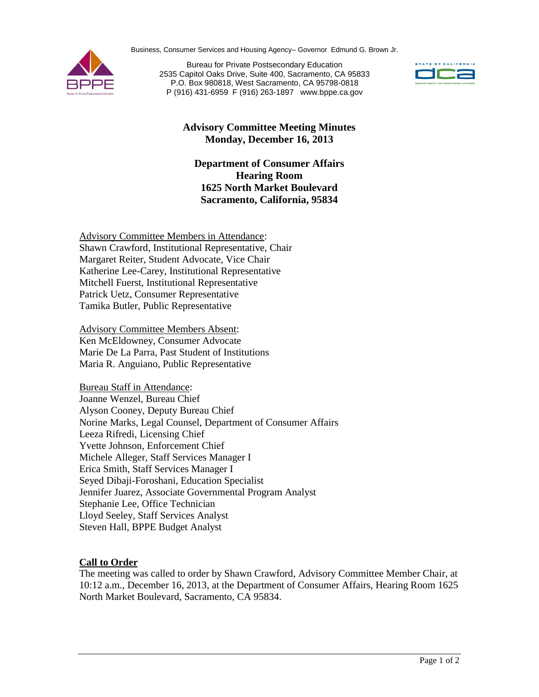Business, Consumer Services and Housing Agency– Governor Edmund G. Brown Jr.



Bureau for Private Postsecondary Education 2535 Capitol Oaks Drive, Suite 400, Sacramento, CA 95833 P.O. Box 980818, West Sacramento, CA 95798-0818 P (916) 431-6959 F (916) 263-1897 www.bppe.ca.gov



# **Advisory Committee Meeting Minutes Monday, December 16, 2013**

### **Department of Consumer Affairs Hearing Room 1625 North Market Boulevard Sacramento, California, 95834**

Advisory Committee Members in Attendance: Shawn Crawford, Institutional Representative, Chair Margaret Reiter, Student Advocate, Vice Chair Katherine Lee-Carey, Institutional Representative Mitchell Fuerst, Institutional Representative Patrick Uetz, Consumer Representative Tamika Butler, Public Representative

Advisory Committee Members Absent: Ken McEldowney, Consumer Advocate Marie De La Parra, Past Student of Institutions Maria R. Anguiano, Public Representative

Bureau Staff in Attendance: Joanne Wenzel, Bureau Chief Alyson Cooney, Deputy Bureau Chief Norine Marks, Legal Counsel, Department of Consumer Affairs Leeza Rifredi, Licensing Chief Yvette Johnson, Enforcement Chief Michele Alleger, Staff Services Manager I Erica Smith, Staff Services Manager I Seyed Dibaji-Foroshani, Education Specialist Jennifer Juarez, Associate Governmental Program Analyst Stephanie Lee, Office Technician Lloyd Seeley, Staff Services Analyst Steven Hall, BPPE Budget Analyst

# **Call to Order**

The meeting was called to order by Shawn Crawford, Advisory Committee Member Chair, at 10:12 a.m., December 16, 2013, at the Department of Consumer Affairs, Hearing Room 1625 North Market Boulevard, Sacramento, CA 95834.